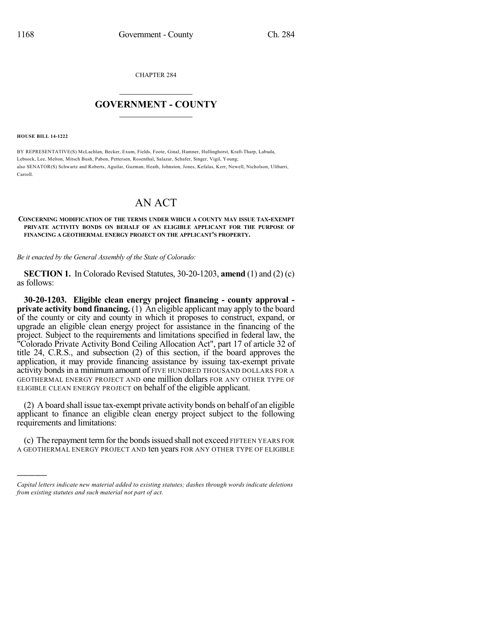CHAPTER 284

## $\mathcal{L}_\text{max}$  . The set of the set of the set of the set of the set of the set of the set of the set of the set of the set of the set of the set of the set of the set of the set of the set of the set of the set of the set **GOVERNMENT - COUNTY**  $\_$

**HOUSE BILL 14-1222**

)))))

BY REPRESENTATIVE(S) McLachlan, Becker, Exum, Fields, Foote, Ginal, Hamner, Hullinghorst, Kraft-Tharp, Labuda, Lebsock, Lee, Melton, Mitsch Bush, Pabon, Pettersen, Rosenthal, Salazar, Schafer, Singer, Vigil, Young; also SENATOR(S) Schwartz and Roberts, Aguilar, Guzman, Heath, Johnston, Jones, Kefalas, Kerr, Newell, Nicholson, Ulibarri, Carroll.

## AN ACT

## **CONCERNING MODIFICATION OF THE TERMS UNDER WHICH A COUNTY MAY ISSUE TAX-EXEMPT PRIVATE ACTIVITY BONDS ON BEHALF OF AN ELIGIBLE APPLICANT FOR THE PURPOSE OF FINANCING A GEOTHERMAL ENERGY PROJECT ON THE APPLICANT'S PROPERTY.**

*Be it enacted by the General Assembly of the State of Colorado:*

**SECTION 1.** In Colorado Revised Statutes, 30-20-1203, **amend** (1) and (2) (c) as follows:

**30-20-1203. Eligible clean energy project financing - county approval private activity bond financing.** (1) An eligible applicant may apply to the board of the county or city and county in which it proposes to construct, expand, or upgrade an eligible clean energy project for assistance in the financing of the project. Subject to the requirements and limitations specified in federal law, the "Colorado Private Activity Bond Ceiling Allocation Act", part 17 of article 32 of title 24, C.R.S., and subsection (2) of this section, if the board approves the application, it may provide financing assistance by issuing tax-exempt private activity bonds in a minimum amount of FIVE HUNDRED THOUSAND DOLLARS FOR A GEOTHERMAL ENERGY PROJECT AND one million dollars FOR ANY OTHER TYPE OF ELIGIBLE CLEAN ENERGY PROJECT on behalf of the eligible applicant.

(2) A board shall issue tax-exempt private activity bonds on behalf of an eligible applicant to finance an eligible clean energy project subject to the following requirements and limitations:

(c) The repayment termfor the bondsissued shall not exceed FIFTEEN YEARS FOR A GEOTHERMAL ENERGY PROJECT AND ten years FOR ANY OTHER TYPE OF ELIGIBLE

*Capital letters indicate new material added to existing statutes; dashes through words indicate deletions from existing statutes and such material not part of act.*